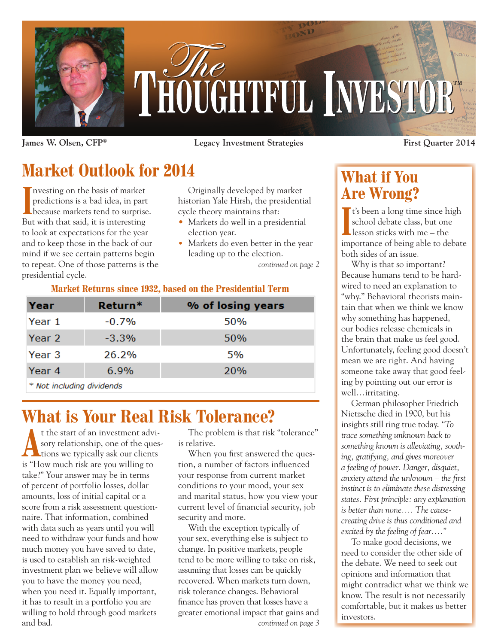

**James W. Olsen, CFP® Legacy Investment Strategies First Quarter 2014**

# **Market Outlook for 2014**

Investing on the basis of market<br>
predictions is a bad idea, in part<br>
because markets tend to surprise. nvesting on the basis of market predictions is a bad idea, in part But with that said, it is interesting to look at expectations for the year and to keep those in the back of our mind if we see certain patterns begin to repeat. One of those patterns is the presidential cycle.

Originally developed by market historian Yale Hirsh, the presidential cycle theory maintains that:

- Markets do well in a presidential election year.
- **•** Markets do even better in the year leading up to the election.

*continued on page 2*

#### **Market Returns since 1932, based on the Presidential Term**

| Year   | Return*  | % of losing years |
|--------|----------|-------------------|
| Year 1 | $-0.7\%$ | 50%               |
| Year 2 | $-3.3%$  | 50%               |
| Year 3 | 26.2%    | 5%                |
| Year 4 | 6.9%     | <b>20%</b>        |
|        |          |                   |

\* Not including dividends

## **What is Your Real Risk Tolerance?**

t the start of an investment advisory relationship, one of the questions we typically ask our clients sory relationship, one of the quesis "How much risk are you willing to take?" Your answer may be in terms of percent of portfolio losses, dollar amounts, loss of initial capital or a score from a risk assessment questionnaire. That information, combined with data such as years until you will need to withdraw your funds and how much money you have saved to date, is used to establish an risk-weighted investment plan we believe will allow you to have the money you need, when you need it. Equally important, it has to result in a portfolio you are willing to hold through good markets and bad.

The problem is that risk "tolerance" is relative.

When you first answered the question, a number of factors influenced your response from current market conditions to your mood, your sex and marital status, how you view your current level of financial security, job security and more.

With the exception typically of your sex, everything else is subject to change. In positive markets, people tend to be more willing to take on risk, assuming that losses can be quickly recovered. When markets turn down, risk tolerance changes. Behavioral finance has proven that losses have a greater emotional impact that gains and *continued on page 3*

## **What if You Are Wrong?**

I<sup>t's</sup> been a long time since high<br>
school debate class, but one<br>
lesson sticks with me – the school debate class, but one lesson sticks with me – the importance of being able to debate both sides of an issue.

Why is that so important? Because humans tend to be hardwired to need an explanation to "why." Behavioral theorists maintain that when we think we know why something has happened, our bodies release chemicals in the brain that make us feel good. Unfortunately, feeling good doesn't mean we are right. And having someone take away that good feeling by pointing out our error is well…irritating.

German philosopher Friedrich Nietzsche died in 1900, but his insights still ring true today. *"To trace something unknown back to something known is alleviating, soothing, gratifying, and gives moreover a feeling of power. Danger, disquiet, anxiety attend the unknown – the first instinct is to eliminate these distressing states. First principle: any explanation is better than none…. The causecreating drive is thus conditioned and excited by the feeling of fear…."*

To make good decisions, we need to consider the other side of the debate. We need to seek out opinions and information that might contradict what we think we know. The result is not necessarily comfortable, but it makes us better investors.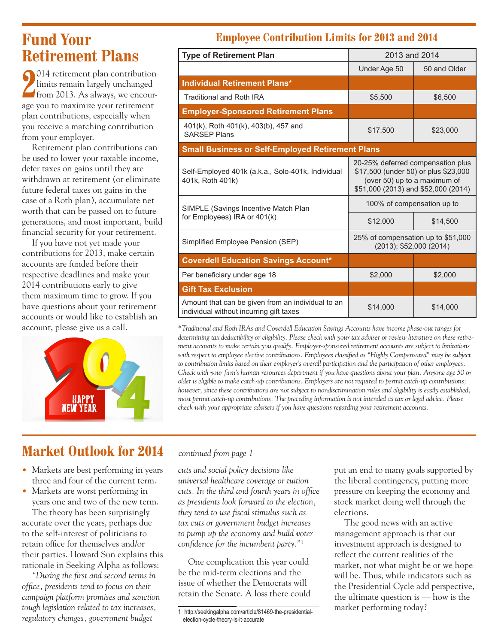## **Fund Your Retirement Plans**

**2**<sup>014</sup> retirement pian contribution<br>limits remain largely unchanged<br>from 2013. As always, we encour-<sup>014</sup> retirement plan contribution limits remain largely unchanged age you to maximize your retirement plan contributions, especially when you receive a matching contribution from your employer.

Retirement plan contributions can be used to lower your taxable income, defer taxes on gains until they are withdrawn at retirement (or eliminate future federal taxes on gains in the case of a Roth plan), accumulate net worth that can be passed on to future generations, and most important, build financial security for your retirement.

If you have not yet made your contributions for 2013, make certain accounts are funded before their respective deadlines and make your 2014 contributions early to give them maximum time to grow. If you have questions about your retirement accounts or would like to establish an account, please give us a call.



### **Employee Contribution Limits for 2013 and 2014**

| <b>Type of Retirement Plan</b>                                                               | 2013 and 2014                                                                                                                                    |              |  |  |
|----------------------------------------------------------------------------------------------|--------------------------------------------------------------------------------------------------------------------------------------------------|--------------|--|--|
|                                                                                              | Under Age 50                                                                                                                                     | 50 and Older |  |  |
| <b>Individual Retirement Plans*</b>                                                          |                                                                                                                                                  |              |  |  |
| <b>Traditional and Roth IRA</b>                                                              | \$5,500                                                                                                                                          | \$6,500      |  |  |
| <b>Employer-Sponsored Retirement Plans</b>                                                   |                                                                                                                                                  |              |  |  |
| 401(k), Roth 401(k), 403(b), 457 and<br><b>SARSEP Plans</b>                                  | \$17,500                                                                                                                                         | \$23,000     |  |  |
| <b>Small Business or Self-Employed Retirement Plans</b>                                      |                                                                                                                                                  |              |  |  |
| Self-Employed 401k (a.k.a., Solo-401k, Individual<br>401k, Roth 401k)                        | 20-25% deferred compensation plus<br>\$17,500 (under 50) or plus \$23,000<br>(over 50) up to a maximum of<br>\$51,000 (2013) and \$52,000 (2014) |              |  |  |
| SIMPLE (Savings Incentive Match Plan                                                         | 100% of compensation up to                                                                                                                       |              |  |  |
| for Employees) IRA or 401(k)                                                                 | \$12,000                                                                                                                                         | \$14,500     |  |  |
| Simplified Employee Pension (SEP)                                                            | 25% of compensation up to \$51,000<br>(2013); \$52,000 (2014)                                                                                    |              |  |  |
| <b>Coverdell Education Savings Account*</b>                                                  |                                                                                                                                                  |              |  |  |
| Per beneficiary under age 18                                                                 | \$2,000                                                                                                                                          | \$2,000      |  |  |
| <b>Gift Tax Exclusion</b>                                                                    |                                                                                                                                                  |              |  |  |
| Amount that can be given from an individual to an<br>individual without incurring gift taxes | \$14,000                                                                                                                                         | \$14,000     |  |  |

*\*Traditional and Roth IRAs and Coverdell Education Savings Accounts have income phase-out ranges for determining tax deductibility or eligibility. Please check with your tax adviser or review literature on these retirement accounts to make certain you qualify. Employer-sponsored retirement accounts are subject to limitations*  with respect to employee elective contributions. Employees classified as "Highly Compensated" may be subject *to contribution limits based on their employer's overall participation and the participation of other employees. Check with your firm's human resources department if you have questions about your plan. Anyone age 50 or older is eligible to make catch-up contributions. Employers are not required to permit catch-up contributions; however, since these contributions are not subject to nondiscrimination rules and eligibility is easily established, most permit catch-up contributions. The preceding information is not intended as tax or legal advice. Please check with your appropriate advisers if you have questions regarding your retirement accounts.*

### **Market Outlook for 2014** *— continued from page 1*

- Markets are best performing in years three and four of the current term.
- **•** Markets are worst performing in years one and two of the new term.

The theory has been surprisingly accurate over the years, perhaps due to the self-interest of politicians to retain office for themselves and/or their parties. Howard Sun explains this rationale in Seeking Alpha as follows:

*"During the first and second terms in office, presidents tend to focus on their campaign platform promises and sanction tough legislation related to tax increases, regulatory changes, government budget* 

*cuts and social policy decisions like universal healthcare coverage or tuition cuts. In the third and fourth years in office as presidents look forward to the election, they tend to use fiscal stimulus such as tax cuts or government budget increases to pump up the economy and build voter confidence for the incumbent party."*<sup>1</sup>

One complication this year could be the mid-term elections and the issue of whether the Democrats will retain the Senate. A loss there could

1 http://seekingalpha.com/article/81469-the-presidentialelection-cycle-theory-is-it-accurate

put an end to many goals supported by the liberal contingency, putting more pressure on keeping the economy and stock market doing well through the elections.

The good news with an active management approach is that our investment approach is designed to reflect the current realities of the market, not what might be or we hope will be. Thus, while indicators such as the Presidential Cycle add perspective, the ultimate question is — how is the market performing today?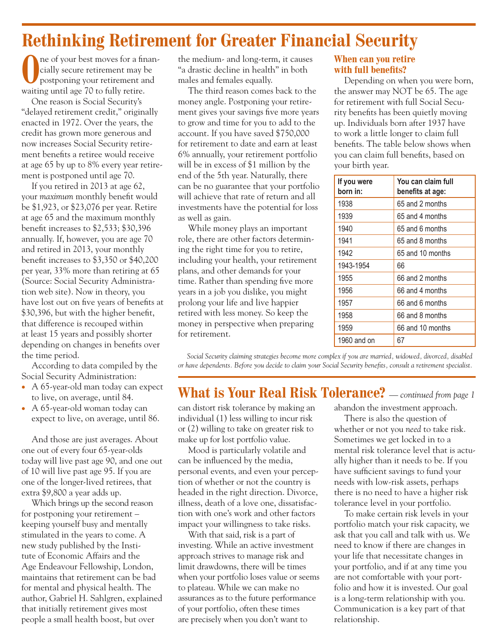## **Rethinking Retirement for Greater Financial Security**

**O**ne of your best moves for a finan-<br>cially secure retirement may be<br>postponing your retirement and cially secure retirement may be waiting until age 70 to fully retire.

One reason is Social Security's "delayed retirement credit," originally enacted in 1972. Over the years, the credit has grown more generous and now increases Social Security retirement benefits a retiree would receive at age 65 by up to 8% every year retirement is postponed until age 70.

If you retired in 2013 at age 62, your *maximum* monthly benefit would be \$1,923, or \$23,076 per year. Retire at age 65 and the maximum monthly benefit increases to \$2,533; \$30,396 annually. If, however, you are age 70 and retired in 2013, your monthly benefit increases to \$3,350 or \$40,200 per year, 33% more than retiring at 65 (Source: Social Security Administration web site). Now in theory, you have lost out on five years of benefits at \$30,396, but with the higher benefit, that difference is recouped within at least 15 years and possibly shorter depending on changes in benefits over the time period.

According to data compiled by the Social Security Administration:

- A 65-year-old man today can expect to live, on average, until 84.
- A 65-year-old woman today can expect to live, on average, until 86.

And those are just averages. About one out of every four 65-year-olds today will live past age 90, and one out of 10 will live past age 95. If you are one of the longer-lived retirees, that extra \$9,800 a year adds up.

Which brings up the second reason for postponing your retirement – keeping yourself busy and mentally stimulated in the years to come. A new study published by the Institute of Economic Affairs and the Age Endeavour Fellowship, London, maintains that retirement can be bad for mental and physical health. The author, Gabriel H. Sahlgren, explained that initially retirement gives most people a small health boost, but over

the medium- and long-term, it causes "a drastic decline in health" in both males and females equally.

The third reason comes back to the money angle. Postponing your retirement gives your savings five more years to grow and time for you to add to the account. If you have saved \$750,000 for retirement to date and earn at least 6% annually, your retirement portfolio will be in excess of \$1 million by the end of the 5th year. Naturally, there can be no guarantee that your portfolio will achieve that rate of return and all investments have the potential for loss as well as gain.

While money plays an important role, there are other factors determining the right time for you to retire, including your health, your retirement plans, and other demands for your time. Rather than spending five more years in a job you dislike, you might prolong your life and live happier retired with less money. So keep the money in perspective when preparing for retirement.

#### **When can you retire with full benefits?**

Depending on when you were born, the answer may NOT be 65. The age for retirement with full Social Security benefits has been quietly moving up. Individuals born after 1937 have to work a little longer to claim full benefits. The table below shows when you can claim full benefits, based on your birth year.

| If you were<br>born in: | You can claim full<br>benefits at age: |
|-------------------------|----------------------------------------|
| 1938                    | 65 and 2 months                        |
| 1939                    | 65 and 4 months                        |
| 1940                    | 65 and 6 months                        |
| 1941                    | 65 and 8 months                        |
| 1942                    | 65 and 10 months                       |
| 1943-1954               | 66                                     |
| 1955                    | 66 and 2 months                        |
| 1956                    | 66 and 4 months                        |
| 1957                    | 66 and 6 months                        |
| 1958                    | 66 and 8 months                        |
| 1959                    | 66 and 10 months                       |
| 1960 and on             | 67                                     |

*Social Security claiming strategies become more complex if you are married, widowed, divorced, disabled or have dependents. Before you decide to claim your Social Security benefits, consult a retirement specialist.*

### **What is Your Real Risk Tolerance?** *— continued from page 1*

can distort risk tolerance by making an individual (1) less willing to incur risk or (2) willing to take on greater risk to make up for lost portfolio value.

Mood is particularly volatile and can be influenced by the media, personal events, and even your perception of whether or not the country is headed in the right direction. Divorce, illness, death of a love one, dissatisfaction with one's work and other factors impact your willingness to take risks.

With that said, risk is a part of investing. While an active investment approach strives to manage risk and limit drawdowns, there will be times when your portfolio loses value or seems to plateau. While we can make no assurances as to the future performance of your portfolio, often these times are precisely when you don't want to

abandon the investment approach.

There is also the question of whether or not you *need* to take risk. Sometimes we get locked in to a mental risk tolerance level that is actually higher than it needs to be. If you have sufficient savings to fund your needs with low-risk assets, perhaps there is no need to have a higher risk tolerance level in your portfolio.

To make certain risk levels in your portfolio match your risk capacity, we ask that you call and talk with us. We need to know if there are changes in your life that necessitate changes in your portfolio, and if at any time you are not comfortable with your portfolio and how it is invested. Our goal is a long-term relationship with you. Communication is a key part of that relationship.